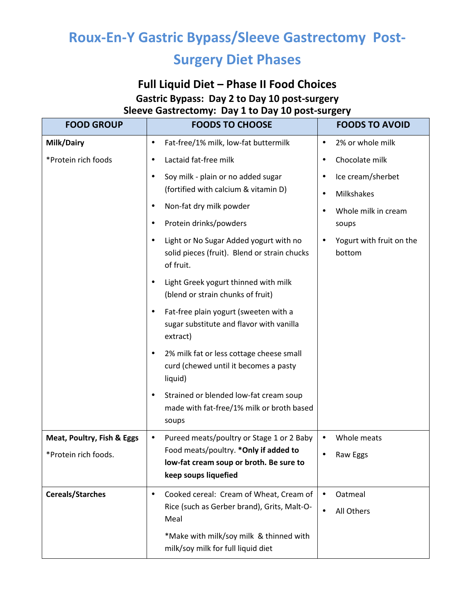# **Roux-En-Y Gastric Bypass/Sleeve Gastrectomy Post-**

# **Surgery Diet Phases**

### **Full Liquid Diet – Phase II Food Choices Gastric Bypass: Day 2 to Day 10 post-surgery Sleeve Gastrectomy: Day 1 to Day 10 post-surgery**

| <b>FOOD GROUP</b>          | <b>FOODS TO CHOOSE</b>                                                                              | <b>FOODS TO AVOID</b>                           |
|----------------------------|-----------------------------------------------------------------------------------------------------|-------------------------------------------------|
| Milk/Dairy                 | Fat-free/1% milk, low-fat buttermilk<br>$\bullet$                                                   | 2% or whole milk<br>$\bullet$                   |
| *Protein rich foods        | Lactaid fat-free milk                                                                               | Chocolate milk<br>٠                             |
|                            | Soy milk - plain or no added sugar<br>$\bullet$                                                     | Ice cream/sherbet<br>$\bullet$                  |
|                            | (fortified with calcium & vitamin D)                                                                | Milkshakes<br>$\bullet$                         |
|                            | Non-fat dry milk powder                                                                             | Whole milk in cream                             |
|                            | Protein drinks/powders<br>$\bullet$                                                                 | soups                                           |
|                            | Light or No Sugar Added yogurt with no<br>solid pieces (fruit). Blend or strain chucks<br>of fruit. | Yogurt with fruit on the<br>$\bullet$<br>bottom |
|                            | Light Greek yogurt thinned with milk<br>(blend or strain chunks of fruit)                           |                                                 |
|                            | Fat-free plain yogurt (sweeten with a<br>٠<br>sugar substitute and flavor with vanilla<br>extract)  |                                                 |
|                            | 2% milk fat or less cottage cheese small<br>٠<br>curd (chewed until it becomes a pasty<br>liquid)   |                                                 |
|                            | Strained or blended low-fat cream soup<br>٠<br>made with fat-free/1% milk or broth based<br>soups   |                                                 |
| Meat, Poultry, Fish & Eggs | Pureed meats/poultry or Stage 1 or 2 Baby<br>٠                                                      | Whole meats<br>$\bullet$                        |
| *Protein rich foods.       | Food meats/poultry. * Only if added to<br>low-fat cream soup or broth. Be sure to                   | Raw Eggs<br>$\bullet$                           |
|                            | keep soups liquefied                                                                                |                                                 |
| <b>Cereals/Starches</b>    | Cooked cereal: Cream of Wheat, Cream of<br>$\bullet$                                                | Oatmeal<br>$\bullet$                            |
|                            | Rice (such as Gerber brand), Grits, Malt-O-<br>Meal                                                 | All Others<br>$\bullet$                         |
|                            | *Make with milk/soy milk & thinned with<br>milk/soy milk for full liquid diet                       |                                                 |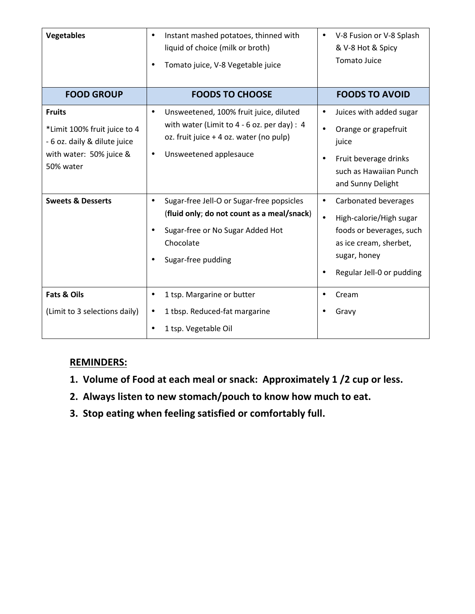| <b>Vegetables</b>                                                                                                     | Instant mashed potatoes, thinned with<br>$\bullet$<br>liquid of choice (milk or broth)<br>Tomato juice, V-8 Vegetable juice                                                            | V-8 Fusion or V-8 Splash<br>$\bullet$<br>& V-8 Hot & Spicy<br><b>Tomato Juice</b>                                                                                            |
|-----------------------------------------------------------------------------------------------------------------------|----------------------------------------------------------------------------------------------------------------------------------------------------------------------------------------|------------------------------------------------------------------------------------------------------------------------------------------------------------------------------|
| <b>FOOD GROUP</b>                                                                                                     | <b>FOODS TO CHOOSE</b>                                                                                                                                                                 | <b>FOODS TO AVOID</b>                                                                                                                                                        |
| <b>Fruits</b><br>*Limit 100% fruit juice to 4<br>- 6 oz. daily & dilute juice<br>with water: 50% juice &<br>50% water | Unsweetened, 100% fruit juice, diluted<br>$\bullet$<br>with water (Limit to $4 - 6$ oz. per day) : 4<br>oz. fruit juice + 4 oz. water (no pulp)<br>Unsweetened applesauce<br>$\bullet$ | Juices with added sugar<br>$\bullet$<br>Orange or grapefruit<br>$\bullet$<br>juice<br>Fruit beverage drinks<br>$\bullet$<br>such as Hawaiian Punch<br>and Sunny Delight      |
| <b>Sweets &amp; Desserts</b>                                                                                          | Sugar-free Jell-O or Sugar-free popsicles<br>$\bullet$<br>(fluid only; do not count as a meal/snack)<br>Sugar-free or No Sugar Added Hot<br>Chocolate<br>Sugar-free pudding            | Carbonated beverages<br>$\bullet$<br>High-calorie/High sugar<br>$\bullet$<br>foods or beverages, such<br>as ice cream, sherbet,<br>sugar, honey<br>Regular Jell-0 or pudding |
| <b>Fats &amp; Oils</b><br>(Limit to 3 selections daily)                                                               | 1 tsp. Margarine or butter<br>$\bullet$<br>1 tbsp. Reduced-fat margarine<br>$\bullet$<br>1 tsp. Vegetable Oil                                                                          | Cream<br>Gravy                                                                                                                                                               |

### **REMINDERS:**

- **1. Volume of Food at each meal or snack: Approximately 1 /2 cup or less.**
- **2. Always listen to new stomach/pouch to know how much to eat.**
- **3. Stop eating when feeling satisfied or comfortably full.**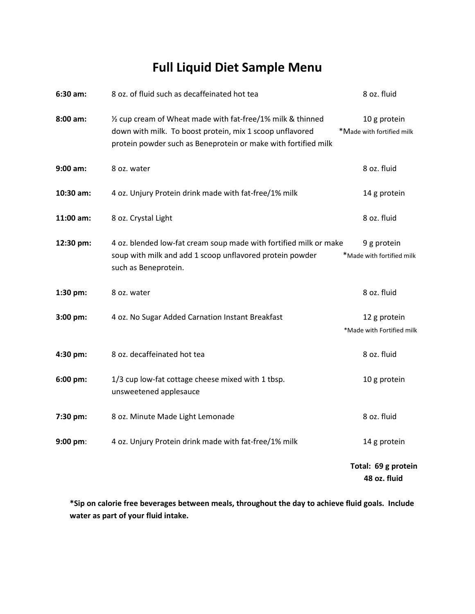# **Full Liquid Diet Sample Menu**

| 6:30 am:   | 8 oz. of fluid such as decaffeinated hot tea                                                                                                                                              | 8 oz. fluid                               |
|------------|-------------------------------------------------------------------------------------------------------------------------------------------------------------------------------------------|-------------------------------------------|
| $8:00$ am: | 1/2 cup cream of Wheat made with fat-free/1% milk & thinned<br>down with milk. To boost protein, mix 1 scoop unflavored<br>protein powder such as Beneprotein or make with fortified milk | 10 g protein<br>*Made with fortified milk |
| 9:00 am:   | 8 oz. water                                                                                                                                                                               | 8 oz. fluid                               |
| 10:30 am:  | 4 oz. Unjury Protein drink made with fat-free/1% milk                                                                                                                                     | 14 g protein                              |
| 11:00 am:  | 8 oz. Crystal Light                                                                                                                                                                       | 8 oz. fluid                               |
| 12:30 pm:  | 4 oz. blended low-fat cream soup made with fortified milk or make<br>soup with milk and add 1 scoop unflavored protein powder<br>such as Beneprotein.                                     | 9 g protein<br>*Made with fortified milk  |
| 1:30 pm:   | 8 oz. water                                                                                                                                                                               | 8 oz. fluid                               |
| 3:00 pm:   | 4 oz. No Sugar Added Carnation Instant Breakfast                                                                                                                                          | 12 g protein<br>*Made with Fortified milk |
| 4:30 pm:   | 8 oz. decaffeinated hot tea                                                                                                                                                               | 8 oz. fluid                               |
| 6:00 pm:   | 1/3 cup low-fat cottage cheese mixed with 1 tbsp.<br>unsweetened applesauce                                                                                                               | 10 g protein                              |
| 7:30 pm:   | 8 oz. Minute Made Light Lemonade                                                                                                                                                          | 8 oz. fluid                               |
| 9:00 pm:   | 4 oz. Unjury Protein drink made with fat-free/1% milk                                                                                                                                     | 14 g protein                              |
|            |                                                                                                                                                                                           | Total: 69 g protein<br>48 oz. fluid       |

**\*Sip on calorie free beverages between meals, throughout the day to achieve fluid goals. Include water as part of your fluid intake.**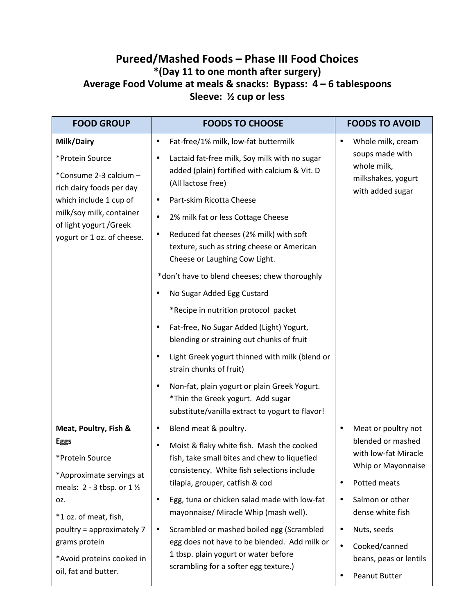### **Pureed/Mashed Foods – Phase III Food Choices \*(Day 11 to one month after surgery) Average Food Volume at meals & snacks: Bypass: 4 – 6 tablespoons Sleeve: ½ cup or less**

| <b>FOOD GROUP</b>                                                                                                                                                                                                                                                | <b>FOODS TO CHOOSE</b>                                                                                                                                                                                                                                                                                                                                                                                                                                                                                                                                                                                                                                                                                                                                                                                                                 | <b>FOODS TO AVOID</b>                                                                                                                                                                                                                              |
|------------------------------------------------------------------------------------------------------------------------------------------------------------------------------------------------------------------------------------------------------------------|----------------------------------------------------------------------------------------------------------------------------------------------------------------------------------------------------------------------------------------------------------------------------------------------------------------------------------------------------------------------------------------------------------------------------------------------------------------------------------------------------------------------------------------------------------------------------------------------------------------------------------------------------------------------------------------------------------------------------------------------------------------------------------------------------------------------------------------|----------------------------------------------------------------------------------------------------------------------------------------------------------------------------------------------------------------------------------------------------|
| Milk/Dairy<br>*Protein Source<br>*Consume 2-3 calcium -<br>rich dairy foods per day<br>which include 1 cup of<br>milk/soy milk, container<br>of light yogurt /Greek<br>yogurt or 1 oz. of cheese.                                                                | Fat-free/1% milk, low-fat buttermilk<br>$\bullet$<br>Lactaid fat-free milk, Soy milk with no sugar<br>٠<br>added (plain) fortified with calcium & Vit. D<br>(All lactose free)<br>Part-skim Ricotta Cheese<br>٠<br>2% milk fat or less Cottage Cheese<br>$\bullet$<br>Reduced fat cheeses (2% milk) with soft<br>٠<br>texture, such as string cheese or American<br>Cheese or Laughing Cow Light.<br>*don't have to blend cheeses; chew thoroughly<br>No Sugar Added Egg Custard<br>*Recipe in nutrition protocol packet<br>Fat-free, No Sugar Added (Light) Yogurt,<br>blending or straining out chunks of fruit<br>Light Greek yogurt thinned with milk (blend or<br>strain chunks of fruit)<br>Non-fat, plain yogurt or plain Greek Yogurt.<br>*Thin the Greek yogurt. Add sugar<br>substitute/vanilla extract to yogurt to flavor! | Whole milk, cream<br>soups made with<br>whole milk,<br>milkshakes, yogurt<br>with added sugar                                                                                                                                                      |
| Meat, Poultry, Fish &<br><b>Eggs</b><br>*Protein Source<br>*Approximate servings at<br>meals: $2 - 3$ tbsp. or $1\frac{1}{2}$<br>OZ.<br>*1 oz. of meat, fish,<br>poultry = approximately 7<br>grams protein<br>*Avoid proteins cooked in<br>oil, fat and butter. | Blend meat & poultry.<br>$\bullet$<br>Moist & flaky white fish. Mash the cooked<br>fish, take small bites and chew to liquefied<br>consistency. White fish selections include<br>tilapia, grouper, catfish & cod<br>Egg, tuna or chicken salad made with low-fat<br>$\bullet$<br>mayonnaise/ Miracle Whip (mash well).<br>Scrambled or mashed boiled egg (Scrambled<br>$\bullet$<br>egg does not have to be blended. Add milk or<br>1 tbsp. plain yogurt or water before<br>scrambling for a softer egg texture.)                                                                                                                                                                                                                                                                                                                      | Meat or poultry not<br>$\bullet$<br>blended or mashed<br>with low-fat Miracle<br>Whip or Mayonnaise<br>Potted meats<br>Salmon or other<br>dense white fish<br>Nuts, seeds<br>Cooked/canned<br>$\bullet$<br>beans, peas or lentils<br>Peanut Butter |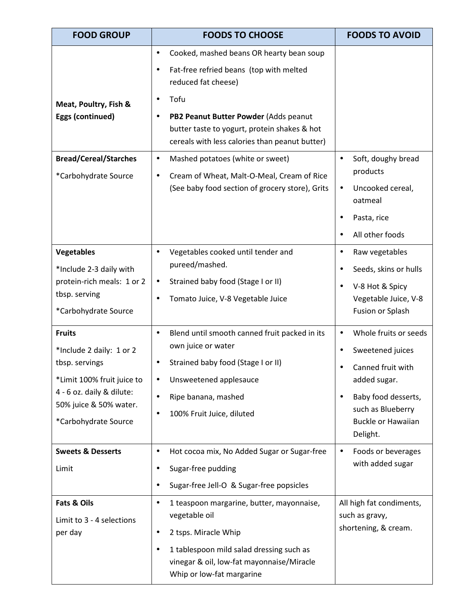| <b>FOOD GROUP</b>                                                                                                                                                        | <b>FOODS TO CHOOSE</b>                                                                                                                                                                                                                                                                               | <b>FOODS TO AVOID</b>                                                                                                                                                                                      |
|--------------------------------------------------------------------------------------------------------------------------------------------------------------------------|------------------------------------------------------------------------------------------------------------------------------------------------------------------------------------------------------------------------------------------------------------------------------------------------------|------------------------------------------------------------------------------------------------------------------------------------------------------------------------------------------------------------|
| Meat, Poultry, Fish &<br>Eggs (continued)                                                                                                                                | Cooked, mashed beans OR hearty bean soup<br>$\bullet$<br>Fat-free refried beans (top with melted<br>$\bullet$<br>reduced fat cheese)<br>Tofu<br>PB2 Peanut Butter Powder (Adds peanut<br>$\bullet$<br>butter taste to yogurt, protein shakes & hot<br>cereals with less calories than peanut butter) |                                                                                                                                                                                                            |
| <b>Bread/Cereal/Starches</b><br>*Carbohydrate Source                                                                                                                     | Mashed potatoes (white or sweet)<br>$\bullet$<br>Cream of Wheat, Malt-O-Meal, Cream of Rice<br>٠<br>(See baby food section of grocery store), Grits                                                                                                                                                  | Soft, doughy bread<br>$\bullet$<br>products<br>Uncooked cereal,<br>$\bullet$<br>oatmeal<br>Pasta, rice<br>All other foods                                                                                  |
| <b>Vegetables</b><br>*Include 2-3 daily with<br>protein-rich meals: 1 or 2<br>tbsp. serving<br>*Carbohydrate Source                                                      | Vegetables cooked until tender and<br>$\bullet$<br>pureed/mashed.<br>Strained baby food (Stage I or II)<br>$\bullet$<br>Tomato Juice, V-8 Vegetable Juice<br>$\bullet$                                                                                                                               | Raw vegetables<br>$\bullet$<br>Seeds, skins or hulls<br>V-8 Hot & Spicy<br>Vegetable Juice, V-8<br>Fusion or Splash                                                                                        |
| <b>Fruits</b><br>*Include 2 daily: 1 or 2<br>tbsp. servings<br>*Limit 100% fruit juice to<br>4 - 6 oz. daily & dilute:<br>50% juice & 50% water.<br>*Carbohydrate Source | Blend until smooth canned fruit packed in its<br>$\bullet$<br>own juice or water<br>Strained baby food (Stage I or II)<br>$\bullet$<br>Unsweetened applesauce<br>$\bullet$<br>Ripe banana, mashed<br>$\bullet$<br>100% Fruit Juice, diluted<br>٠                                                     | Whole fruits or seeds<br>$\bullet$<br>Sweetened juices<br>$\bullet$<br>Canned fruit with<br>added sugar.<br>Baby food desserts,<br>$\bullet$<br>such as Blueberry<br><b>Buckle or Hawaiian</b><br>Delight. |
| <b>Sweets &amp; Desserts</b><br>Limit                                                                                                                                    | Hot cocoa mix, No Added Sugar or Sugar-free<br>$\bullet$<br>Sugar-free pudding<br>٠<br>Sugar-free Jell-O & Sugar-free popsicles<br>$\bullet$                                                                                                                                                         | Foods or beverages<br>$\bullet$<br>with added sugar                                                                                                                                                        |
| Fats & Oils<br>Limit to 3 - 4 selections<br>per day                                                                                                                      | 1 teaspoon margarine, butter, mayonnaise,<br>$\bullet$<br>vegetable oil<br>2 tsps. Miracle Whip<br>٠<br>1 tablespoon mild salad dressing such as<br>$\bullet$<br>vinegar & oil, low-fat mayonnaise/Miracle<br>Whip or low-fat margarine                                                              | All high fat condiments,<br>such as gravy,<br>shortening, & cream.                                                                                                                                         |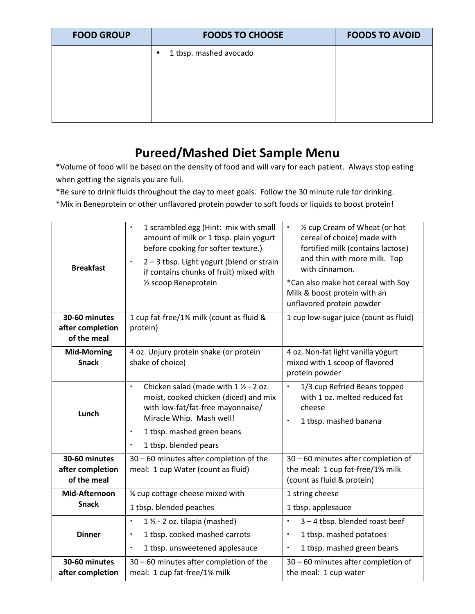| <b>FOOD GROUP</b> | <b>FOODS TO CHOOSE</b>              | <b>FOODS TO AVOID</b> |
|-------------------|-------------------------------------|-----------------------|
|                   | 1 tbsp. mashed avocado<br>$\bullet$ |                       |
|                   |                                     |                       |
|                   |                                     |                       |
|                   |                                     |                       |
|                   |                                     |                       |

# **Pureed/Mashed Diet Sample Menu**

**\***Volume of food will be based on the density of food and will vary for each patient. Always stop eating when getting the signals you are full.

\*Be sure to drink fluids throughout the day to meet goals. Follow the 30 minute rule for drinking.

\*Mix in Beneprotein or other unflavored protein powder to soft foods or liquids to boost protein!

| <b>Breakfast</b>                                 | 1 scrambled egg (Hint: mix with small<br>amount of milk or 1 tbsp. plain yogurt<br>before cooking for softer texture.)<br>2-3 tbsp. Light yogurt (blend or strain<br>$\blacksquare$<br>if contains chunks of fruit) mixed with<br>1/2 scoop Beneprotein    | 1/2 cup Cream of Wheat (or hot<br>$\blacksquare$<br>cereal of choice) made with<br>fortified milk (contains lactose)<br>and thin with more milk. Top<br>with cinnamon.<br>*Can also make hot cereal with Soy<br>Milk & boost protein with an<br>unflavored protein powder |
|--------------------------------------------------|------------------------------------------------------------------------------------------------------------------------------------------------------------------------------------------------------------------------------------------------------------|---------------------------------------------------------------------------------------------------------------------------------------------------------------------------------------------------------------------------------------------------------------------------|
| 30-60 minutes<br>after completion<br>of the meal | 1 cup fat-free/1% milk (count as fluid &<br>protein)                                                                                                                                                                                                       | 1 cup low-sugar juice (count as fluid)                                                                                                                                                                                                                                    |
| <b>Mid-Morning</b><br><b>Snack</b>               | 4 oz. Unjury protein shake (or protein<br>shake of choice)                                                                                                                                                                                                 | 4 oz. Non-fat light vanilla yogurt<br>mixed with 1 scoop of flavored<br>protein powder                                                                                                                                                                                    |
| Lunch                                            | Chicken salad (made with $1 \frac{1}{2}$ - 2 oz.<br>$\blacksquare$<br>moist, cooked chicken (diced) and mix<br>with low-fat/fat-free mayonnaise/<br>Miracle Whip. Mash well!<br>1 tbsp. mashed green beans<br>٠<br>1 tbsp. blended pears<br>$\blacksquare$ | 1/3 cup Refried Beans topped<br>$\blacksquare$<br>with 1 oz. melted reduced fat<br>cheese<br>1 tbsp. mashed banana<br>$\blacksquare$                                                                                                                                      |
| 30-60 minutes<br>after completion<br>of the meal | 30 - 60 minutes after completion of the<br>meal: 1 cup Water (count as fluid)                                                                                                                                                                              | 30 - 60 minutes after completion of<br>the meal: 1 cup fat-free/1% milk<br>(count as fluid & protein)                                                                                                                                                                     |
| Mid-Afternoon<br><b>Snack</b>                    | 1/4 cup cottage cheese mixed with<br>1 tbsp. blended peaches                                                                                                                                                                                               | 1 string cheese<br>1 tbsp. applesauce                                                                                                                                                                                                                                     |
| <b>Dinner</b>                                    | $1 \frac{1}{2}$ - 2 oz. tilapia (mashed)<br>$\blacksquare$<br>1 tbsp. cooked mashed carrots<br>1 tbsp. unsweetened applesauce<br>٠                                                                                                                         | 3-4 tbsp. blended roast beef<br>$\blacksquare$<br>1 tbsp. mashed potatoes<br>×<br>1 tbsp. mashed green beans                                                                                                                                                              |
| 30-60 minutes<br>after completion                | 30 - 60 minutes after completion of the<br>meal: 1 cup fat-free/1% milk                                                                                                                                                                                    | 30 - 60 minutes after completion of<br>the meal: 1 cup water                                                                                                                                                                                                              |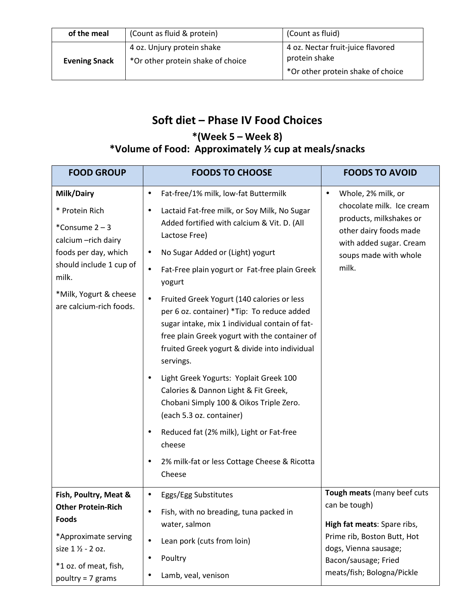| of the meal          | (Count as fluid & protein)                                      | (Count as fluid)                                                                        |
|----------------------|-----------------------------------------------------------------|-----------------------------------------------------------------------------------------|
| <b>Evening Snack</b> | 4 oz. Unjury protein shake<br>*Or other protein shake of choice | 4 oz. Nectar fruit-juice flavored<br>protein shake<br>*Or other protein shake of choice |

# **Soft diet – Phase IV Food Choices**

## **\*(Week 5 – Week 8)**

## **\*Volume of Food: Approximately ½ cup at meals/snacks**

| <b>FOOD GROUP</b>                                                                                                                                                                     | <b>FOODS TO CHOOSE</b>                                                                                                                                                                                                                                                                                                                                                                                                                                                                                                                                                                                                                                                                                                                                                                                                                     | <b>FOODS TO AVOID</b>                                                                                                                                                                     |
|---------------------------------------------------------------------------------------------------------------------------------------------------------------------------------------|--------------------------------------------------------------------------------------------------------------------------------------------------------------------------------------------------------------------------------------------------------------------------------------------------------------------------------------------------------------------------------------------------------------------------------------------------------------------------------------------------------------------------------------------------------------------------------------------------------------------------------------------------------------------------------------------------------------------------------------------------------------------------------------------------------------------------------------------|-------------------------------------------------------------------------------------------------------------------------------------------------------------------------------------------|
| Milk/Dairy<br>* Protein Rich<br>*Consume 2-3<br>calcium - rich dairy<br>foods per day, which<br>should include 1 cup of<br>milk.<br>*Milk, Yogurt & cheese<br>are calcium-rich foods. | Fat-free/1% milk, low-fat Buttermilk<br>$\bullet$<br>Lactaid Fat-free milk, or Soy Milk, No Sugar<br>٠<br>Added fortified with calcium & Vit. D. (All<br>Lactose Free)<br>No Sugar Added or (Light) yogurt<br>٠<br>Fat-Free plain yogurt or Fat-free plain Greek<br>$\bullet$<br>yogurt<br>Fruited Greek Yogurt (140 calories or less<br>$\bullet$<br>per 6 oz. container) *Tip: To reduce added<br>sugar intake, mix 1 individual contain of fat-<br>free plain Greek yogurt with the container of<br>fruited Greek yogurt & divide into individual<br>servings.<br>Light Greek Yogurts: Yoplait Greek 100<br>Calories & Dannon Light & Fit Greek,<br>Chobani Simply 100 & Oikos Triple Zero.<br>(each 5.3 oz. container)<br>Reduced fat (2% milk), Light or Fat-free<br>cheese<br>2% milk-fat or less Cottage Cheese & Ricotta<br>Cheese | Whole, 2% milk, or<br>$\bullet$<br>chocolate milk. Ice cream<br>products, milkshakes or<br>other dairy foods made<br>with added sugar. Cream<br>soups made with whole<br>milk.            |
| Fish, Poultry, Meat &<br><b>Other Protein-Rich</b><br><b>Foods</b><br>*Approximate serving<br>size 1 1/2 - 2 oz.<br>*1 oz. of meat, fish,<br>poultry = $7$ grams                      | Eggs/Egg Substitutes<br>Fish, with no breading, tuna packed in<br>٠<br>water, salmon<br>Lean pork (cuts from loin)<br>$\bullet$<br>Poultry<br>$\bullet$<br>Lamb, veal, venison                                                                                                                                                                                                                                                                                                                                                                                                                                                                                                                                                                                                                                                             | Tough meats (many beef cuts<br>can be tough)<br>High fat meats: Spare ribs,<br>Prime rib, Boston Butt, Hot<br>dogs, Vienna sausage;<br>Bacon/sausage; Fried<br>meats/fish; Bologna/Pickle |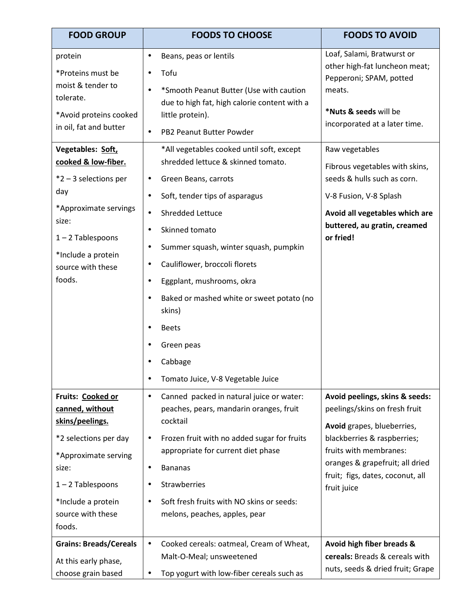| <b>FOOD GROUP</b>                                                                                                                                                                             | <b>FOODS TO CHOOSE</b>                                                                                                                                                                                                                                                                                                                                                                                                                                                                 | <b>FOODS TO AVOID</b>                                                                                                                                                                                                                        |
|-----------------------------------------------------------------------------------------------------------------------------------------------------------------------------------------------|----------------------------------------------------------------------------------------------------------------------------------------------------------------------------------------------------------------------------------------------------------------------------------------------------------------------------------------------------------------------------------------------------------------------------------------------------------------------------------------|----------------------------------------------------------------------------------------------------------------------------------------------------------------------------------------------------------------------------------------------|
| protein<br>*Proteins must be<br>moist & tender to<br>tolerate.<br>*Avoid proteins cooked<br>in oil, fat and butter                                                                            | Beans, peas or lentils<br>$\bullet$<br>Tofu<br>*Smooth Peanut Butter (Use with caution<br>due to high fat, high calorie content with a<br>little protein).<br>PB2 Peanut Butter Powder<br>$\bullet$                                                                                                                                                                                                                                                                                    | Loaf, Salami, Bratwurst or<br>other high-fat luncheon meat;<br>Pepperoni; SPAM, potted<br>meats.<br>*Nuts & seeds will be<br>incorporated at a later time.                                                                                   |
| Vegetables: Soft,<br>cooked & low-fiber.<br>$*2 - 3$ selections per<br>day<br>*Approximate servings<br>size:<br>$1 - 2$ Tablespoons<br>*Include a protein<br>source with these<br>foods.      | *All vegetables cooked until soft, except<br>shredded lettuce & skinned tomato.<br>Green Beans, carrots<br>Soft, tender tips of asparagus<br>$\bullet$<br><b>Shredded Lettuce</b><br>Skinned tomato<br>Summer squash, winter squash, pumpkin<br>$\bullet$<br>Cauliflower, broccoli florets<br>Eggplant, mushrooms, okra<br>Baked or mashed white or sweet potato (no<br>$\bullet$<br>skins)<br><b>Beets</b><br>Green peas<br>Cabbage<br>Tomato Juice, V-8 Vegetable Juice<br>$\bullet$ | Raw vegetables<br>Fibrous vegetables with skins,<br>seeds & hulls such as corn.<br>V-8 Fusion, V-8 Splash<br>Avoid all vegetables which are<br>buttered, au gratin, creamed<br>or fried!                                                     |
| Fruits: Cooked or<br>canned, without<br>skins/peelings.<br>*2 selections per day<br>*Approximate serving<br>size:<br>$1 - 2$ Tablespoons<br>*Include a protein<br>source with these<br>foods. | Canned packed in natural juice or water:<br>$\bullet$<br>peaches, pears, mandarin oranges, fruit<br>cocktail<br>Frozen fruit with no added sugar for fruits<br>$\bullet$<br>appropriate for current diet phase<br><b>Bananas</b><br>$\bullet$<br>Strawberries<br>$\bullet$<br>Soft fresh fruits with NO skins or seeds:<br>$\bullet$<br>melons, peaches, apples, pear                                                                                                                  | Avoid peelings, skins & seeds:<br>peelings/skins on fresh fruit<br>Avoid grapes, blueberries,<br>blackberries & raspberries;<br>fruits with membranes:<br>oranges & grapefruit; all dried<br>fruit; figs, dates, coconut, all<br>fruit juice |
| <b>Grains: Breads/Cereals</b><br>At this early phase,<br>choose grain based                                                                                                                   | Cooked cereals: oatmeal, Cream of Wheat,<br>Malt-O-Meal; unsweetened<br>Top yogurt with low-fiber cereals such as                                                                                                                                                                                                                                                                                                                                                                      | Avoid high fiber breads &<br>cereals: Breads & cereals with<br>nuts, seeds & dried fruit; Grape                                                                                                                                              |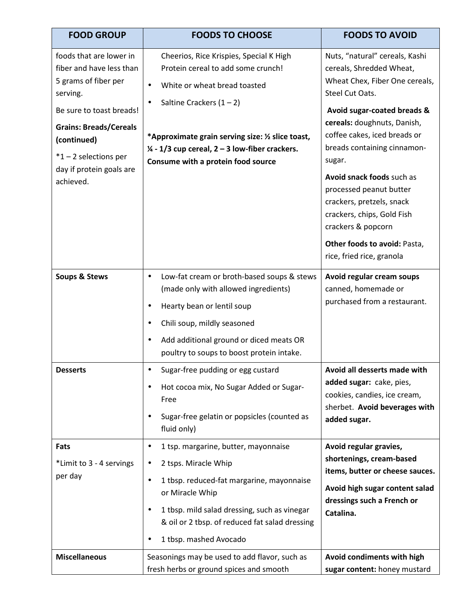| <b>FOOD GROUP</b>                                                                                                                                                                                                                       | <b>FOODS TO CHOOSE</b>                                                                                                                                                                                                                                                                              | <b>FOODS TO AVOID</b>                                                                                                                                                                                                                                                                                                                                                                                                                                        |
|-----------------------------------------------------------------------------------------------------------------------------------------------------------------------------------------------------------------------------------------|-----------------------------------------------------------------------------------------------------------------------------------------------------------------------------------------------------------------------------------------------------------------------------------------------------|--------------------------------------------------------------------------------------------------------------------------------------------------------------------------------------------------------------------------------------------------------------------------------------------------------------------------------------------------------------------------------------------------------------------------------------------------------------|
| foods that are lower in<br>fiber and have less than<br>5 grams of fiber per<br>serving.<br>Be sure to toast breads!<br><b>Grains: Breads/Cereals</b><br>(continued)<br>$*1 - 2$ selections per<br>day if protein goals are<br>achieved. | Cheerios, Rice Krispies, Special K High<br>Protein cereal to add some crunch!<br>White or wheat bread toasted<br>Saltine Crackers $(1 – 2)$<br>*Approximate grain serving size: 1/2 slice toast,<br>$\frac{1}{4}$ - 1/3 cup cereal, 2 – 3 low-fiber crackers.<br>Consume with a protein food source | Nuts, "natural" cereals, Kashi<br>cereals, Shredded Wheat,<br>Wheat Chex, Fiber One cereals,<br>Steel Cut Oats.<br>Avoid sugar-coated breads &<br>cereals: doughnuts, Danish,<br>coffee cakes, iced breads or<br>breads containing cinnamon-<br>sugar.<br>Avoid snack foods such as<br>processed peanut butter<br>crackers, pretzels, snack<br>crackers, chips, Gold Fish<br>crackers & popcorn<br>Other foods to avoid: Pasta,<br>rice, fried rice, granola |
| <b>Soups &amp; Stews</b>                                                                                                                                                                                                                | Low-fat cream or broth-based soups & stews<br>$\bullet$<br>(made only with allowed ingredients)<br>Hearty bean or lentil soup<br>Chili soup, mildly seasoned<br>Add additional ground or diced meats OR<br>poultry to soups to boost protein intake.                                                | Avoid regular cream soups<br>canned, homemade or<br>purchased from a restaurant.                                                                                                                                                                                                                                                                                                                                                                             |
| <b>Desserts</b>                                                                                                                                                                                                                         | Sugar-free pudding or egg custard<br>$\bullet$<br>Hot cocoa mix, No Sugar Added or Sugar-<br>Free<br>Sugar-free gelatin or popsicles (counted as<br>fluid only)                                                                                                                                     | Avoid all desserts made with<br>added sugar: cake, pies,<br>cookies, candies, ice cream,<br>sherbet. Avoid beverages with<br>added sugar.                                                                                                                                                                                                                                                                                                                    |
| Fats<br>*Limit to 3 - 4 servings<br>per day                                                                                                                                                                                             | 1 tsp. margarine, butter, mayonnaise<br>$\bullet$<br>2 tsps. Miracle Whip<br>1 tbsp. reduced-fat margarine, mayonnaise<br>$\bullet$<br>or Miracle Whip<br>1 tbsp. mild salad dressing, such as vinegar<br>& oil or 2 tbsp. of reduced fat salad dressing<br>1 tbsp. mashed Avocado                  | Avoid regular gravies,<br>shortenings, cream-based<br>items, butter or cheese sauces.<br>Avoid high sugar content salad<br>dressings such a French or<br>Catalina.                                                                                                                                                                                                                                                                                           |
| <b>Miscellaneous</b>                                                                                                                                                                                                                    | Seasonings may be used to add flavor, such as<br>fresh herbs or ground spices and smooth                                                                                                                                                                                                            | Avoid condiments with high<br>sugar content: honey mustard                                                                                                                                                                                                                                                                                                                                                                                                   |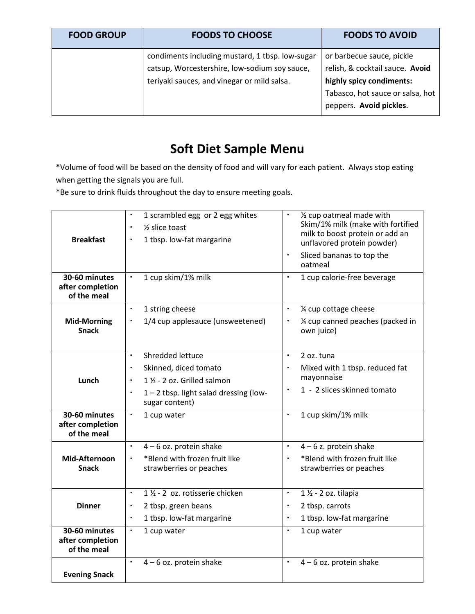| <b>FOOD GROUP</b> | <b>FOODS TO CHOOSE</b>                                                                                                                          | <b>FOODS TO AVOID</b>                                                                                                                                   |
|-------------------|-------------------------------------------------------------------------------------------------------------------------------------------------|---------------------------------------------------------------------------------------------------------------------------------------------------------|
|                   | condiments including mustard, 1 tbsp. low-sugar<br>catsup, Worcestershire, low-sodium soy sauce,<br>teriyaki sauces, and vinegar or mild salsa. | or barbecue sauce, pickle<br>relish, & cocktail sauce. Avoid<br>highly spicy condiments:<br>Tabasco, hot sauce or salsa, hot<br>peppers. Avoid pickles. |

# **Soft Diet Sample Menu**

**\***Volume of food will be based on the density of food and will vary for each patient. Always stop eating when getting the signals you are full.

\*Be sure to drink fluids throughout the day to ensure meeting goals.

| <b>Breakfast</b>                                 | 1 scrambled egg or 2 egg whites<br>٠<br>$\frac{1}{2}$ slice toast<br>1 tbsp. low-fat margarine | 1/2 cup oatmeal made with<br>Skim/1% milk (make with fortified<br>milk to boost protein or add an<br>unflavored protein powder)<br>$\blacksquare$<br>Sliced bananas to top the<br>oatmeal |
|--------------------------------------------------|------------------------------------------------------------------------------------------------|-------------------------------------------------------------------------------------------------------------------------------------------------------------------------------------------|
| 30-60 minutes<br>after completion<br>of the meal | 1 cup skim/1% milk<br>$\blacksquare$                                                           | 1 cup calorie-free beverage<br>$\blacksquare$                                                                                                                                             |
|                                                  | 1 string cheese<br>$\blacksquare$                                                              | 1⁄4 cup cottage cheese<br>$\blacksquare$                                                                                                                                                  |
| <b>Mid-Morning</b><br><b>Snack</b>               | 1/4 cup applesauce (unsweetened)                                                               | 1/4 cup canned peaches (packed in<br>$\blacksquare$<br>own juice)                                                                                                                         |
|                                                  | Shredded lettuce<br>$\blacksquare$                                                             | $\blacksquare$<br>2 oz. tuna                                                                                                                                                              |
|                                                  | Skinned, diced tomato                                                                          | Mixed with 1 tbsp. reduced fat<br>$\blacksquare$                                                                                                                                          |
| Lunch                                            | 1 1/2 - 2 oz. Grilled salmon                                                                   | mayonnaise                                                                                                                                                                                |
|                                                  | 1-2 tbsp. light salad dressing (low-<br>sugar content)                                         | 1 - 2 slices skinned tomato<br>$\blacksquare$                                                                                                                                             |
| 30-60 minutes<br>after completion<br>of the meal | $\blacksquare$<br>1 cup water                                                                  | 1 cup skim/1% milk<br>$\blacksquare$                                                                                                                                                      |
|                                                  | $4 - 6$ oz. protein shake<br>$\blacksquare$                                                    | $4 - 6$ z. protein shake<br>$\blacksquare$                                                                                                                                                |
| Mid-Afternoon<br><b>Snack</b>                    | *Blend with frozen fruit like<br>$\blacksquare$<br>strawberries or peaches                     | *Blend with frozen fruit like<br>$\blacksquare$<br>strawberries or peaches                                                                                                                |
|                                                  | 1 1/2 - 2 oz. rotisserie chicken<br>$\blacksquare$                                             | $1\frac{1}{2}$ - 2 oz. tilapia<br>$\blacksquare$                                                                                                                                          |
| <b>Dinner</b>                                    | 2 tbsp. green beans                                                                            | 2 tbsp. carrots<br>$\blacksquare$                                                                                                                                                         |
|                                                  | 1 tbsp. low-fat margarine<br>$\blacksquare$                                                    | 1 tbsp. low-fat margarine<br>٠                                                                                                                                                            |
| 30-60 minutes<br>after completion<br>of the meal | ٠<br>1 cup water                                                                               | $\blacksquare$<br>1 cup water                                                                                                                                                             |
|                                                  | 4-6 oz. protein shake<br>$\blacksquare$                                                        | $4 - 6$ oz. protein shake<br>$\blacksquare$                                                                                                                                               |
| <b>Evening Snack</b>                             |                                                                                                |                                                                                                                                                                                           |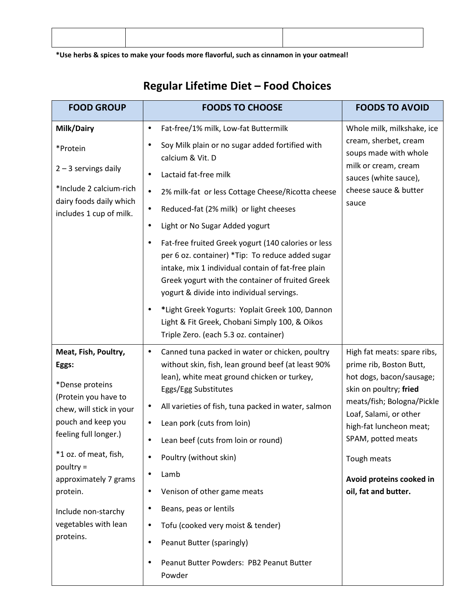**\*Use herbs & spices to make your foods more flavorful, such as cinnamon in your oatmeal!** 

**FOOD GROUP FOODS TO CHOOSE FOODS TO AVOID Milk/Dairy**  \*Protein  $2 - 3$  servings daily \*Include 2 calcium-rich dairy foods daily which includes 1 cup of milk. • Fat-free/1% milk, Low-fat Buttermilk • Soy Milk plain or no sugar added fortified with calcium & Vit. D • Lactaid fat-free milk • 2% milk-fat or less Cottage Cheese/Ricotta cheese • Reduced-fat (2% milk) or light cheeses • Light or No Sugar Added yogurt • Fat-free fruited Greek yogurt (140 calories or less per 6 oz. container) \*Tip: To reduce added sugar intake, mix 1 individual contain of fat-free plain Greek yogurt with the container of fruited Greek yogurt & divide into individual servings. • **\***Light Greek Yogurts: Yoplait Greek 100, Dannon Light & Fit Greek, Chobani Simply 100, & Oikos Triple Zero. (each 5.3 oz. container) Whole milk, milkshake, ice cream, sherbet, cream soups made with whole milk or cream, cream sauces (white sauce), cheese sauce & butter sauce **Meat, Fish, Poultry, Eggs:**  \*Dense proteins (Protein you have to chew, will stick in your pouch and keep you feeling full longer.) \*1 oz. of meat, fish, poultry = approximately 7 grams protein. Include non-starchy vegetables with lean proteins. • Canned tuna packed in water or chicken, poultry without skin, fish, lean ground beef (at least 90% lean), white meat ground chicken or turkey, Eggs/Egg Substitutes • All varieties of fish, tuna packed in water, salmon • Lean pork (cuts from loin) • Lean beef (cuts from loin or round) • Poultry (without skin) • Lamb • Venison of other game meats • Beans, peas or lentils • Tofu (cooked very moist & tender) • Peanut Butter (sparingly) • Peanut Butter Powders: PB2 Peanut Butter Powder High fat meats: spare ribs, prime rib, Boston Butt, hot dogs, bacon/sausage; skin on poultry; **fried**  meats/fish; Bologna/Pickle Loaf, Salami, or other high-fat luncheon meat; SPAM, potted meats Tough meats **Avoid proteins cooked in oil, fat and butter.** 

## **Regular Lifetime Diet – Food Choices**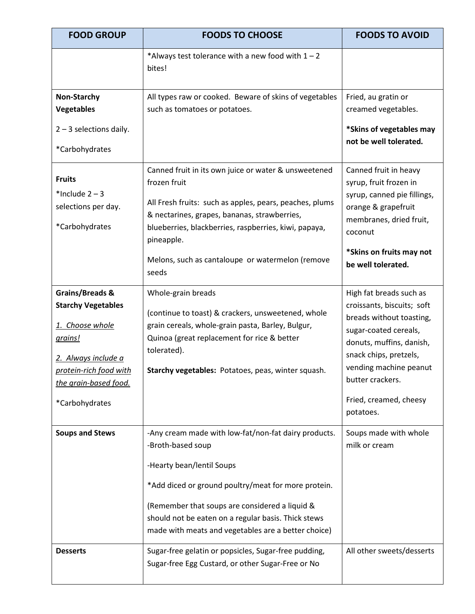| <b>FOOD GROUP</b>                                                                                                                                                      | <b>FOODS TO CHOOSE</b>                                                                                                                                                                                                                                                                                                        | <b>FOODS TO AVOID</b>                                                                                                                                                                                                                                 |
|------------------------------------------------------------------------------------------------------------------------------------------------------------------------|-------------------------------------------------------------------------------------------------------------------------------------------------------------------------------------------------------------------------------------------------------------------------------------------------------------------------------|-------------------------------------------------------------------------------------------------------------------------------------------------------------------------------------------------------------------------------------------------------|
|                                                                                                                                                                        | *Always test tolerance with a new food with $1 - 2$<br>bites!                                                                                                                                                                                                                                                                 |                                                                                                                                                                                                                                                       |
| Non-Starchy<br><b>Vegetables</b>                                                                                                                                       | All types raw or cooked. Beware of skins of vegetables<br>such as tomatoes or potatoes.                                                                                                                                                                                                                                       | Fried, au gratin or<br>creamed vegetables.                                                                                                                                                                                                            |
| $2 - 3$ selections daily.<br>*Carbohydrates                                                                                                                            |                                                                                                                                                                                                                                                                                                                               | *Skins of vegetables may<br>not be well tolerated.                                                                                                                                                                                                    |
| <b>Fruits</b><br>*Include $2 - 3$<br>selections per day.<br>*Carbohydrates                                                                                             | Canned fruit in its own juice or water & unsweetened<br>frozen fruit<br>All Fresh fruits: such as apples, pears, peaches, plums<br>& nectarines, grapes, bananas, strawberries,<br>blueberries, blackberries, raspberries, kiwi, papaya,<br>pineapple.<br>Melons, such as cantaloupe or watermelon (remove<br>seeds           | Canned fruit in heavy<br>syrup, fruit frozen in<br>syrup, canned pie fillings,<br>orange & grapefruit<br>membranes, dried fruit,<br>coconut<br>*Skins on fruits may not<br>be well tolerated.                                                         |
| Grains/Breads &<br><b>Starchy Vegetables</b><br>1. Choose whole<br>grains!<br>2. Always include a<br>protein-rich food with<br>the grain-based food.<br>*Carbohydrates | Whole-grain breads<br>(continue to toast) & crackers, unsweetened, whole<br>grain cereals, whole-grain pasta, Barley, Bulgur,<br>Quinoa (great replacement for rice & better<br>tolerated).<br>Starchy vegetables: Potatoes, peas, winter squash.                                                                             | High fat breads such as<br>croissants, biscuits; soft<br>breads without toasting,<br>sugar-coated cereals,<br>donuts, muffins, danish,<br>snack chips, pretzels,<br>vending machine peanut<br>butter crackers.<br>Fried, creamed, cheesy<br>potatoes. |
| <b>Soups and Stews</b>                                                                                                                                                 | -Any cream made with low-fat/non-fat dairy products.<br>-Broth-based soup<br>-Hearty bean/lentil Soups<br>*Add diced or ground poultry/meat for more protein.<br>(Remember that soups are considered a liquid &<br>should not be eaten on a regular basis. Thick stews<br>made with meats and vegetables are a better choice) | Soups made with whole<br>milk or cream                                                                                                                                                                                                                |
| <b>Desserts</b>                                                                                                                                                        | Sugar-free gelatin or popsicles, Sugar-free pudding,<br>Sugar-free Egg Custard, or other Sugar-Free or No                                                                                                                                                                                                                     | All other sweets/desserts                                                                                                                                                                                                                             |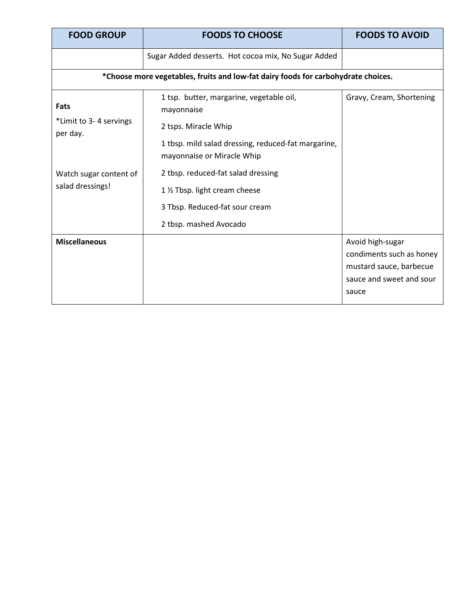| <b>FOOD GROUP</b>                                                                 | <b>FOODS TO CHOOSE</b>                                                                               | <b>FOODS TO AVOID</b>                                                                                        |  |  |  |
|-----------------------------------------------------------------------------------|------------------------------------------------------------------------------------------------------|--------------------------------------------------------------------------------------------------------------|--|--|--|
|                                                                                   | Sugar Added desserts. Hot cocoa mix, No Sugar Added                                                  |                                                                                                              |  |  |  |
| *Choose more vegetables, fruits and low-fat dairy foods for carbohydrate choices. |                                                                                                      |                                                                                                              |  |  |  |
| Fats<br>*Limit to 3-4 servings<br>per day.                                        | 1 tsp. butter, margarine, vegetable oil,<br>mayonnaise<br>2 tsps. Miracle Whip                       | Gravy, Cream, Shortening                                                                                     |  |  |  |
|                                                                                   | 1 tbsp. mild salad dressing, reduced-fat margarine,<br>mayonnaise or Miracle Whip                    |                                                                                                              |  |  |  |
| Watch sugar content of<br>salad dressings!                                        | 2 tbsp. reduced-fat salad dressing<br>1 % Tbsp. light cream cheese<br>3 Tbsp. Reduced-fat sour cream |                                                                                                              |  |  |  |
| <b>Miscellaneous</b>                                                              | 2 tbsp. mashed Avocado                                                                               | Avoid high-sugar<br>condiments such as honey<br>mustard sauce, barbecue<br>sauce and sweet and sour<br>sauce |  |  |  |